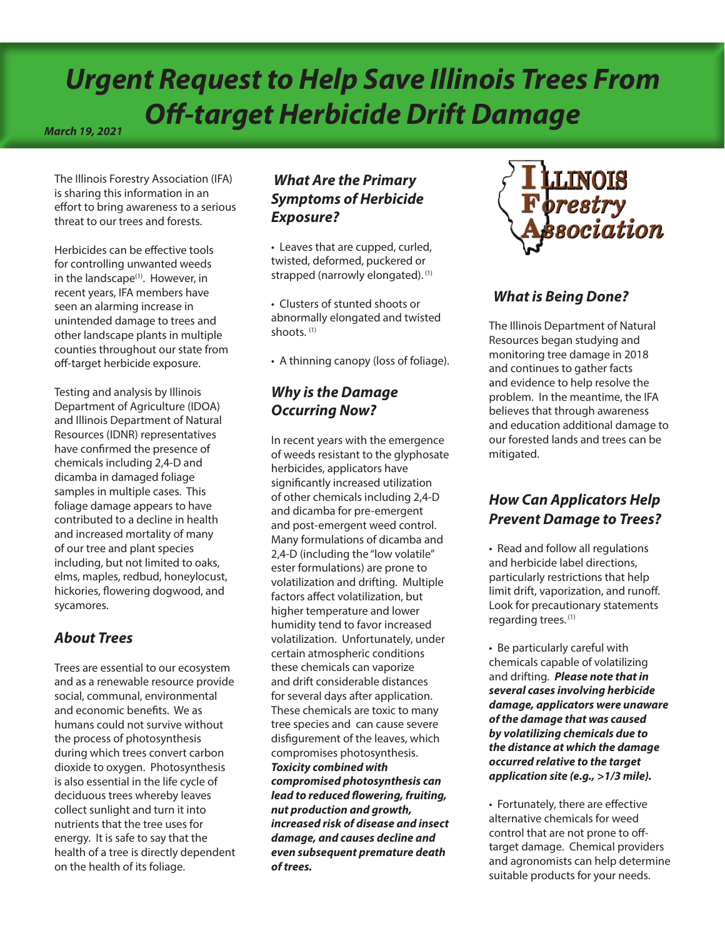# *Urgent Request to Help Save Illinois Trees From Off-target Herbicide Drift Damage*

*March 19, 2021*

The Illinois Forestry Association (IFA) is sharing this information in an effort to bring awareness to a serious threat to our trees and forests.

Herbicides can be effective tools for controlling unwanted weeds in the landscape<sup>(1)</sup>. However, in recent years, IFA members have seen an alarming increase in unintended damage to trees and other landscape plants in multiple counties throughout our state from off-target herbicide exposure.

Testing and analysis by Illinois Department of Agriculture (IDOA) and Illinois Department of Natural Resources (IDNR) representatives have confirmed the presence of chemicals including 2,4-D and dicamba in damaged foliage samples in multiple cases. This foliage damage appears to have contributed to a decline in health and increased mortality of many of our tree and plant species including, but not limited to oaks, elms, maples, redbud, honeylocust, hickories, flowering dogwood, and sycamores.

#### *About Trees*

Trees are essential to our ecosystem and as a renewable resource provide social, communal, environmental and economic benefits. We as humans could not survive without the process of photosynthesis during which trees convert carbon dioxide to oxygen. Photosynthesis is also essential in the life cycle of deciduous trees whereby leaves collect sunlight and turn it into nutrients that the tree uses for energy. It is safe to say that the health of a tree is directly dependent on the health of its foliage.

#### *What Are the Primary Symptoms of Herbicide Exposure?*

• Leaves that are cupped, curled, twisted, deformed, puckered or strapped (narrowly elongated). (1)

• Clusters of stunted shoots or abnormally elongated and twisted shoots. (1)

• A thinning canopy (loss of foliage).

#### *Why is the Damage Occurring Now?*

In recent years with the emergence of weeds resistant to the glyphosate herbicides, applicators have significantly increased utilization of other chemicals including 2,4-D and dicamba for pre-emergent and post-emergent weed control. Many formulations of dicamba and 2,4-D (including the "low volatile" ester formulations) are prone to volatilization and drifting. Multiple factors affect volatilization, but higher temperature and lower humidity tend to favor increased volatilization. Unfortunately, under certain atmospheric conditions these chemicals can vaporize and drift considerable distances for several days after application. These chemicals are toxic to many tree species and can cause severe disfigurement of the leaves, which compromises photosynthesis. *Toxicity combined with compromised photosynthesis can lead to reduced flowering, fruiting, nut production and growth, increased risk of disease and insect damage, and causes decline and even subsequent premature death of trees.* 



### *What is Being Done?*

The Illinois Department of Natural Resources began studying and monitoring tree damage in 2018 and continues to gather facts and evidence to help resolve the problem. In the meantime, the IFA believes that through awareness and education additional damage to our forested lands and trees can be mitigated.

#### *How Can Applicators Help Prevent Damage to Trees?*

• Read and follow all regulations and herbicide label directions, particularly restrictions that help limit drift, vaporization, and runoff. Look for precautionary statements regarding trees. (1)

• Be particularly careful with chemicals capable of volatilizing and drifting. *Please note that in several cases involving herbicide damage, applicators were unaware of the damage that was caused by volatilizing chemicals due to the distance at which the damage occurred relative to the target application site (e.g., >1/3 mile).* 

• Fortunately, there are effective alternative chemicals for weed control that are not prone to offtarget damage. Chemical providers and agronomists can help determine suitable products for your needs.